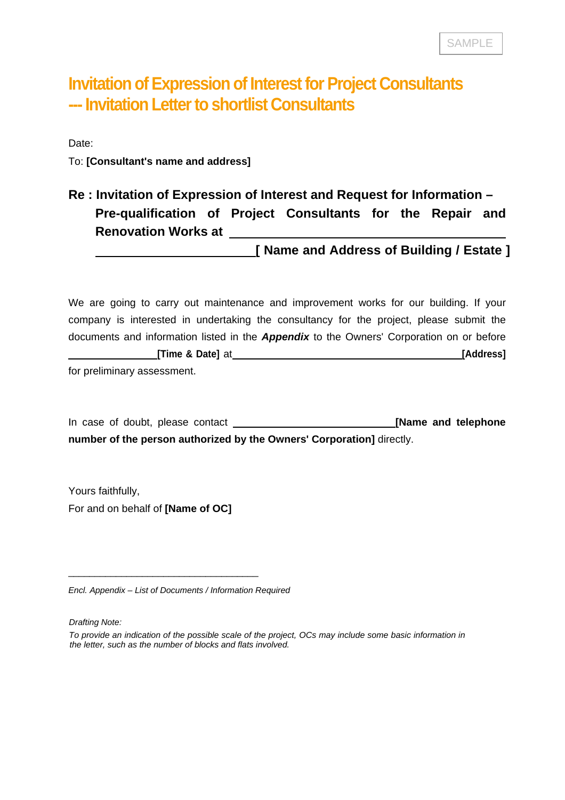## **Invitation of Expression of Interest for Project Consultants --- Invitation Letter to shortlist Consultants**

Date:

To: **[Consultant's name and address]**

## **Re : Invitation of Expression of Interest and Request for Information – Pre-qualification of Project Consultants for the Repair and Renovation Works at**

 **[ Name and Address of Building / Estate ]**

We are going to carry out maintenance and improvement works for our building. If your company is interested in undertaking the consultancy for the project, please submit the documents and information listed in the *Appendix* to the Owners' Corporation on or before **[Time & Date]** at **[Address]**

for preliminary assessment.

In case of doubt, please contact **[Mame and telephone [Name and telephone number of the person authorized by the Owners' Corporation]** directly.

Yours faithfully, For and on behalf of **[Name of OC]**

*Encl. Appendix – List of Documents / Information Required*

\_\_\_\_\_\_\_\_\_\_\_\_\_\_\_\_\_\_\_\_\_\_\_\_\_\_\_\_\_\_\_\_\_\_\_\_

*Drafting Note:*

*To provide an indication of the possible scale of the project, OCs may include some basic information in the letter, such as the number of blocks and flats involved.*